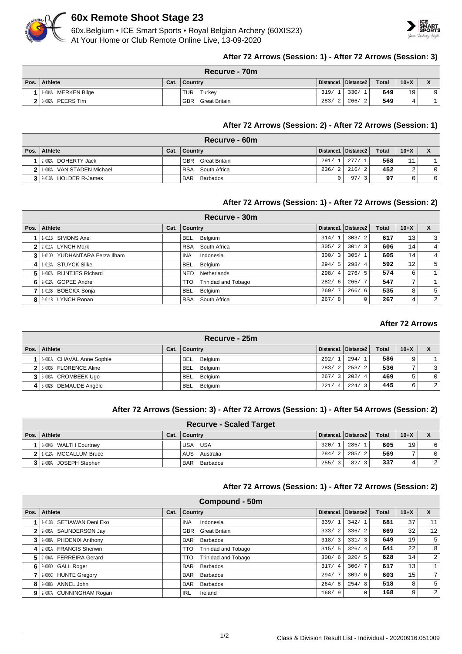

# **60x Remote Shoot Stage 23**

60x.Belgium • ICE Smart Sports • Royal Belgian Archery (60XIS23) At Your Home or Club Remote Online Live, 13-09-2020



## **After 72 Arrows (Session: 1) - After 72 Arrows (Session: 3)**

| Recurve - 70m       |      |                             |  |                       |              |          |    |  |  |
|---------------------|------|-----------------------------|--|-----------------------|--------------|----------|----|--|--|
| Pos. Athlete        | Cat. | ∣ Countrv                   |  | Distance1   Distance2 | <b>Total</b> | $10 + X$ |    |  |  |
| 1-004A MERKEN Bilge |      | <b>TUR</b><br>Turkev        |  | 319/1   330/1         | 649          | 19       | Q. |  |  |
| 13-002A PEERSTim    |      | <b>GBR</b><br>Great Britain |  | 283/2 266/2           | 549          |          |    |  |  |

## **After 72 Arrows (Session: 2) - After 72 Arrows (Session: 1)**

|      | Recurve - 60m                |      |                             |       |                       |              |        |                |  |  |
|------|------------------------------|------|-----------------------------|-------|-----------------------|--------------|--------|----------------|--|--|
| Pos. | Athlete                      | Cat. | <b>Country</b>              |       | Distance1   Distance2 | <b>Total</b> | $10+X$ |                |  |  |
|      | 2-002A DOHERTY Jack          |      | <b>GBR</b><br>Great Britain | 291/1 | 277/                  | 568          | 11     |                |  |  |
|      | 2 1 1003A VAN STADEN Michael |      | RSA<br>South Africa         | 236/2 | 216/2                 | 452          | $\sim$ | $\circ$        |  |  |
|      | 3 2010A HOLDER R-James       |      | <b>BAR</b><br>Barbados      |       | 97/                   | 97           |        | $\overline{0}$ |  |  |

### **After 72 Arrows (Session: 1) - After 72 Arrows (Session: 2)**

|      | Recurve - 30m                 |      |            |                     |           |                       |              |                 |                |  |  |
|------|-------------------------------|------|------------|---------------------|-----------|-----------------------|--------------|-----------------|----------------|--|--|
| Pos. | Athlete                       | Cat. | Country    |                     | Distance1 | Distance <sub>2</sub> | <b>Total</b> | $10+X$          | $\mathbf{x}$   |  |  |
|      | 1-011B SIMONS Axel            |      | BEL        | Belgium             | 314/1     | 303/2                 | 617          | 13              | $\overline{3}$ |  |  |
|      | 2-011A LYNCH Mark             |      |            | RSA South Africa    | 305/2     | 301/3                 | 606          | 14              | 4 <sup>1</sup> |  |  |
| 3    | 1-010D YUDHANTARA Ferza Ilham |      | <b>INA</b> | Indonesia           | 300/3     | 305/1                 | 605          | 14              | 4 <sup>1</sup> |  |  |
| 4    | 1-013A STUYCK Silke           |      | <b>BEL</b> | Belgium             | 294/5     | 298/4                 | 592          | 12 <sub>1</sub> | 5 <sup>1</sup> |  |  |
| 5.   | 1-007A RIJNTJES Richard       |      | <b>NED</b> | Netherlands         | 298/4     | 276/5                 | 574          | 6               |                |  |  |
| 6 I  | 2-012A GOPEE Andre            |      | <b>TTO</b> | Trinidad and Tobago | 282/6     | 265/7                 | 547          | 7               |                |  |  |
|      | 1-013B BOECKX Sonja           |      | <b>BEL</b> | Belgium             | 269/7     | 266/6                 | 535          | 8               | 5 <sup>1</sup> |  |  |
|      | 8 2-011B LYNCH Ronan          |      | <b>RSA</b> | South Africa        | 267/8     |                       | 267          | 4               | $\overline{2}$ |  |  |

## **After 72 Arrows**

| <b>Recurve - 25m</b>      |      |                       |                        |                       |              |        |             |  |  |  |
|---------------------------|------|-----------------------|------------------------|-----------------------|--------------|--------|-------------|--|--|--|
| Pos. Athlete              | Cat. | ∣ Countrv             |                        | Distance1   Distance2 | <b>Total</b> | $10+X$ |             |  |  |  |
| 5-001A CHAVAL Anne Sophie |      | Belgium<br><b>BEL</b> | 292/1                  | 294/1                 | 586          | 9      |             |  |  |  |
| 2 5-003B FLORENCE Aline   |      | Belgium<br><b>BEL</b> | 283/2                  | 253/2                 | 536          | ⇁      | 3           |  |  |  |
| 3 5-003A CROMBEEK Ugo     |      | Belgium<br><b>BEL</b> | 267/3                  | 202/4                 | 469          | 5.     | $\mathbf 0$ |  |  |  |
| 4 5-002B DEMAUDE Angèle   |      | <b>BEL</b><br>Belgium | 221/<br>$\overline{4}$ | 224/3                 | 445          | 6      | 2           |  |  |  |

#### **After 72 Arrows (Session: 3) - After 72 Arrows (Session: 1) - After 54 Arrows (Session: 2)**

| <b>Recurve - Scaled Target</b> |      |                        |       |                       |       |        |                |  |  |
|--------------------------------|------|------------------------|-------|-----------------------|-------|--------|----------------|--|--|
| Pos.   Athlete                 | Cat. | ∣ Countrv              |       | Distance1   Distance2 | Total | $10+X$ |                |  |  |
| 13-004B WALTH Courtney         |      | USA USA                | 320/  | 285/1                 | 605   | 19     | 6              |  |  |
| 1-012A MCCALLUM Bruce          |      | AUS Australia          | 284/2 | 285/2                 | 569   | ⇁      | $\overline{0}$ |  |  |
| 3 2009A JOSEPH Stephen         |      | Barbados<br><b>BAR</b> | 255/  | 82/3                  | 337   | 4      | $\overline{2}$ |  |  |

### **After 72 Arrows (Session: 1) - After 72 Arrows (Session: 2)**

|      | Compound - 50m            |      |                                    |                                 |           |              |        |                 |  |  |  |
|------|---------------------------|------|------------------------------------|---------------------------------|-----------|--------------|--------|-----------------|--|--|--|
| Pos. | Athlete                   | Cat. | Country                            | Distance1                       | Distance2 | <b>Total</b> | $10+X$ | <b>X</b>        |  |  |  |
|      | 1-010B SETIAWAN Deni Eko  |      | <b>INA</b><br>Indonesia            | 339/1                           | 342/1     | 681          | 37     | 11              |  |  |  |
|      | 2-005A SAUNDERSON Jay     |      | <b>Great Britain</b><br><b>GBR</b> | 333/<br>2                       | 336/2     | 669          | 32     | 12              |  |  |  |
|      | 3 2-008A PHOENIX Anthony  |      | Barbados<br><b>BAR</b>             | 318/<br>$\overline{\mathbf{3}}$ | 331/3     | 649          | 19     | 5               |  |  |  |
|      | 4 2001A FRANCIS Sherwin   |      | TTO<br>Trinidad and Tobago         | 315/5                           | 326/4     | 641          | 22     | 8               |  |  |  |
|      | 5 2004A FERREIRA Gerard   |      | <b>Trinidad and Tobago</b><br>TTO  | 308/<br>- 6                     | 320/5     | 628          | 14     | 2               |  |  |  |
| 6    | 2-008D GALL Roger         |      | <b>BAR</b><br>Barbados             | 317/<br>$\overline{4}$          | 300/7     | 617          | 13     |                 |  |  |  |
|      | 2-008C HUNTE Gregory      |      | <b>BAR</b><br>Barbados             | 294/                            | 309/6     | 603          | 15     | $7\overline{ }$ |  |  |  |
|      | 8 2-008B ANNEL John       |      | <b>BAR</b><br><b>Barbados</b>      | 264/<br>-8                      | 254/8     | 518          | 8      | 5               |  |  |  |
|      | 9 2-007A CUNNINGHAM Rogan |      | IRL<br>Ireland                     | 168/9                           | 0         | 168          | 9      | $\overline{a}$  |  |  |  |